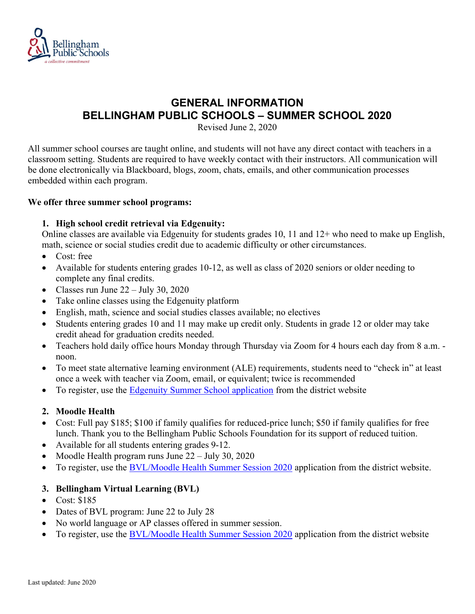

# GENERAL INFORMATION BELLINGHAM PUBLIC SCHOOLS – SUMMER SCHOOL 2020

Revised June 2, 2020

All summer school courses are taught online, and students will not have any direct contact with teachers in a classroom setting. Students are required to have weekly contact with their instructors. All communication will be done electronically via Blackboard, blogs, zoom, chats, emails, and other communication processes embedded within each program.

## We offer three summer school programs:

# 1. High school credit retrieval via Edgenuity:

Online classes are available via Edgenuity for students grades 10, 11 and 12+ who need to make up English, math, science or social studies credit due to academic difficulty or other circumstances.

- Cost: free
- Available for students entering grades 10-12, as well as class of 2020 seniors or older needing to complete any final credits.
- Classes run June  $22 -$  July 30, 2020
- Take online classes using the Edgenuity platform
- English, math, science and social studies classes available; no electives
- Students entering grades 10 and 11 may make up credit only. Students in grade 12 or older may take credit ahead for graduation credits needed.
- Teachers hold daily office hours Monday through Thursday via Zoom for 4 hours each day from 8 a.m. noon.
- To meet state alternative learning environment (ALE) requirements, students need to "check in" at least once a week with teacher via Zoom, email, or equivalent; twice is recommended
- To register, use the Edgenuity Summer School application from the district website

# 2. Moodle Health

- Cost: Full pay \$185; \$100 if family qualifies for reduced-price lunch; \$50 if family qualifies for free lunch. Thank you to the Bellingham Public Schools Foundation for its support of reduced tuition.
- Available for all students entering grades 9-12.
- Moodle Health program runs June 22 July 30, 2020
- To register, use the BVL/Moodle Health Summer Session 2020 application from the district website.

# 3. Bellingham Virtual Learning (BVL)

- Cost: \$185
- Dates of BVL program: June 22 to July 28
- No world language or AP classes offered in summer session.
- To register, use the BVL/Moodle Health Summer Session 2020 application from the district website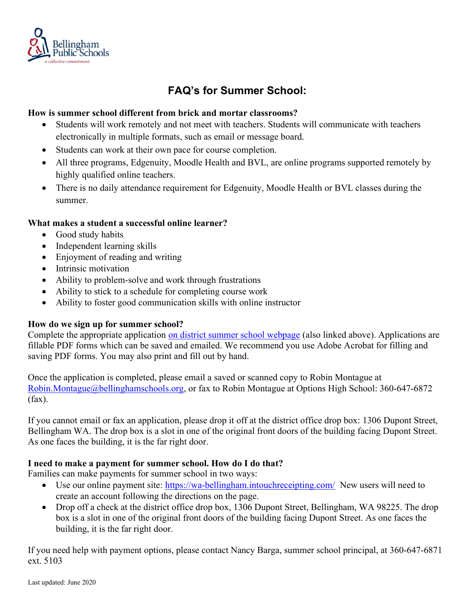

# FAQ's for Summer School:

## How is summer school different from brick and mortar classrooms?

- Students will work remotely and not meet with teachers. Students will communicate with teachers electronically in multiple formats, such as email or message board.
- Students can work at their own pace for course completion.
- All three programs, Edgenuity, Moodle Health and BVL, are online programs supported remotely by highly qualified online teachers.
- There is no daily attendance requirement for Edgenuity, Moodle Health or BVL classes during the summer.

## What makes a student a successful online learner?

- Good study habits
- Independent learning skills
- Enjoyment of reading and writing
- Intrinsic motivation
- Ability to problem-solve and work through frustrations
- Ability to stick to a schedule for completing course work
- Ability to foster good communication skills with online instructor

#### How do we sign up for summer school?

Complete the appropriate application on district summer school webpage (also linked above). Applications are fillable PDF forms which can be saved and emailed. We recommend you use Adobe Acrobat for filling and saving PDF forms. You may also print and fill out by hand.

Once the application is completed, please email a saved or scanned copy to Robin Montague at Robin.Montague@bellinghamschools.org, or fax to Robin Montague at Options High School: 360-647-6872 (fax).

If you cannot email or fax an application, please drop it off at the district office drop box: 1306 Dupont Street, Bellingham WA. The drop box is a slot in one of the original front doors of the building facing Dupont Street. As one faces the building, it is the far right door.

# I need to make a payment for summer school. How do I do that?

Families can make payments for summer school in two ways:

- Use our online payment site: https://wa-bellingham.intouchreceipting.com/ New users will need to create an account following the directions on the page.
- Drop off a check at the district office drop box, 1306 Dupont Street, Bellingham, WA 98225. The drop box is a slot in one of the original front doors of the building facing Dupont Street. As one faces the building, it is the far right door.

If you need help with payment options, please contact Nancy Barga, summer school principal, at 360-647-6871 ext. 5103